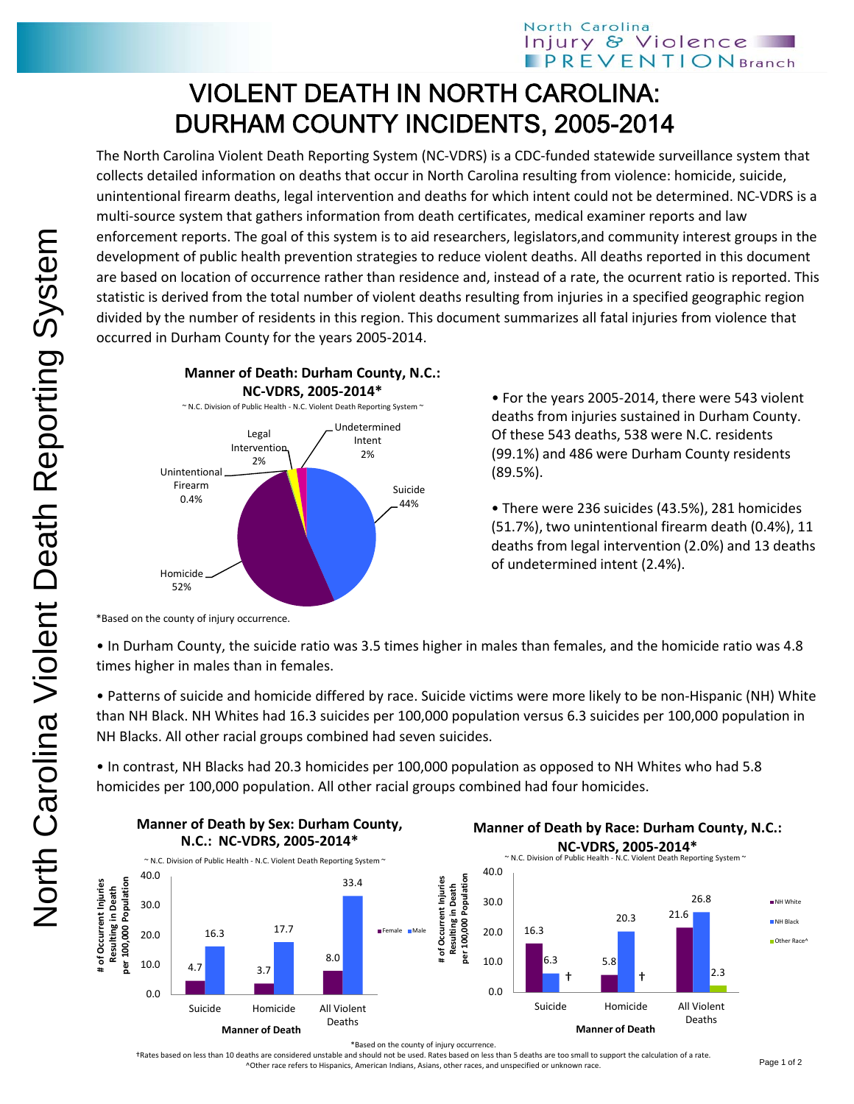## VIOLENT DEATH IN NORTH CAROLINA: DURHAM COUNTY INCIDENTS, 2005-2014

The North Carolina Violent Death Reporting System (NC‐VDRS) is a CDC‐funded statewide surveillance system that collects detailed information on deaths that occur in North Carolina resulting from violence: homicide, suicide, unintentional firearm deaths, legal intervention and deaths for which intent could not be determined. NC‐VDRS is a multi‐source system that gathers information from death certificates, medical examiner reports and law enforcement reports. The goal of this system is to aid researchers, legislators,and community interest groups in the development of public health prevention strategies to reduce violent deaths. All deaths reported in this document are based on location of occurrence rather than residence and, instead of a rate, the ocurrent ratio is reported. This statistic is derived from the total number of violent deaths resulting from injuries in a specified geographic region divided by the number of residents in this region. This document summarizes all fatal injuries from violence that occurred in Durham County for the years 2005‐2014.



• For the years 2005‐2014, there were 543 violent deaths from injuries sustained in Durham County. Of these 543 deaths, 538 were N.C. residents (99.1%) and 486 were Durham County residents (89.5%).

• There were 236 suicides (43.5%), 281 homicides (51.7%), two unintentional firearm death (0.4%), 11 deaths from legal intervention (2.0%) and 13 deaths of undetermined intent (2.4%).

\*Based on the county of injury occurrence.

• In Durham County, the suicide ratio was 3.5 times higher in males than females, and the homicide ratio was 4.8 times higher in males than in females.

• Patterns of suicide and homicide differed by race. Suicide victims were more likely to be non‐Hispanic (NH) White than NH Black. NH Whites had 16.3 suicides per 100,000 population versus 6.3 suicides per 100,000 population in NH Blacks. All other racial groups combined had seven suicides.

• In contrast, NH Blacks had 20.3 homicides per 100,000 population as opposed to NH Whites who had 5.8 homicides per 100,000 population. All other racial groups combined had four homicides.



**Manner of Death by Sex: Durham County,**





\*Based on the county of injury occurrence.

†Rates based on less than 10 deaths are considered unstable and should not be used. Rates based on less than 5 deaths are too small to support the calculation of a rate. ^Other race refers to Hispanics, American Indians, Asians, other races, and unspecified or unknown race.